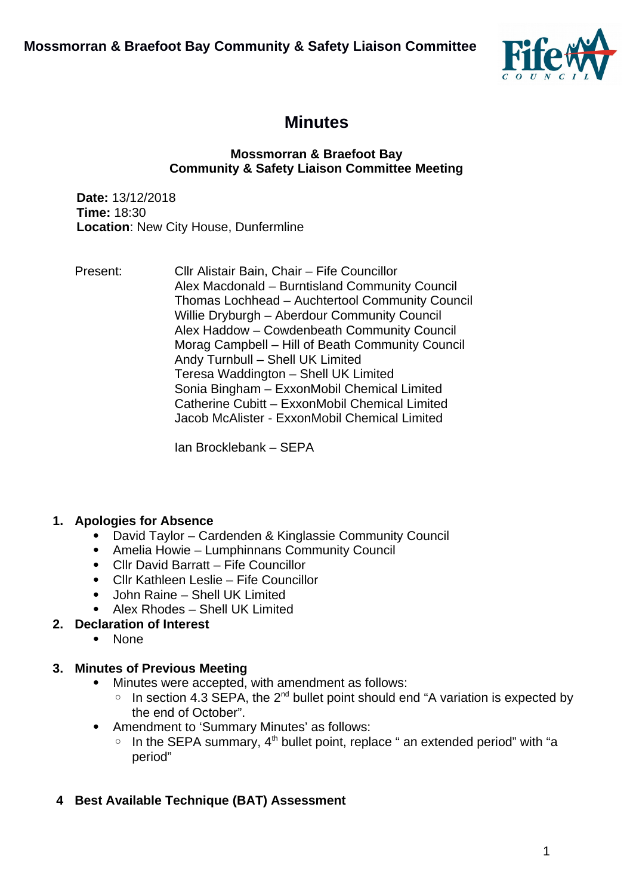**Mossmorran & Braefoot Bay Community & Safety Liaison Committee** 



# **Minutes**

#### **Mossmorran & Braefoot Bay Community & Safety Liaison Committee Meeting**

**Date:** 13/12/2018 **Time:** 18:30 **Location**: New City House, Dunfermline

Present: Cllr Alistair Bain, Chair – Fife Councillor Alex Macdonald – Burntisland Community Council Thomas Lochhead – Auchtertool Community Council Willie Dryburgh – Aberdour Community Council Alex Haddow – Cowdenbeath Community Council Morag Campbell – Hill of Beath Community Council Andy Turnbull – Shell UK Limited Teresa Waddington – Shell UK Limited Sonia Bingham – ExxonMobil Chemical Limited Catherine Cubitt – ExxonMobil Chemical Limited Jacob McAlister - ExxonMobil Chemical Limited

Ian Brocklebank – SEPA

# **1. Apologies for Absence**

- David Taylor Cardenden & Kinglassie Community Council
- Amelia Howie Lumphinnans Community Council
- Cllr David Barratt Fife Councillor
- Cllr Kathleen Leslie Fife Councillor
- John Raine Shell UK Limited
- Alex Rhodes Shell UK Limited

# **2. Declaration of Interest**

• None

# **3. Minutes of Previous Meeting**

- Minutes were accepted, with amendment as follows:
	- In section 4.3 SEPA, the 2nd bullet point should end "A variation is expected by the end of October".
- Amendment to 'Summary Minutes' as follows:
	- In the SEPA summary,  $4<sup>th</sup>$  bullet point, replace " an extended period" with "a period"

# **4 Best Available Technique (BAT) Assessment**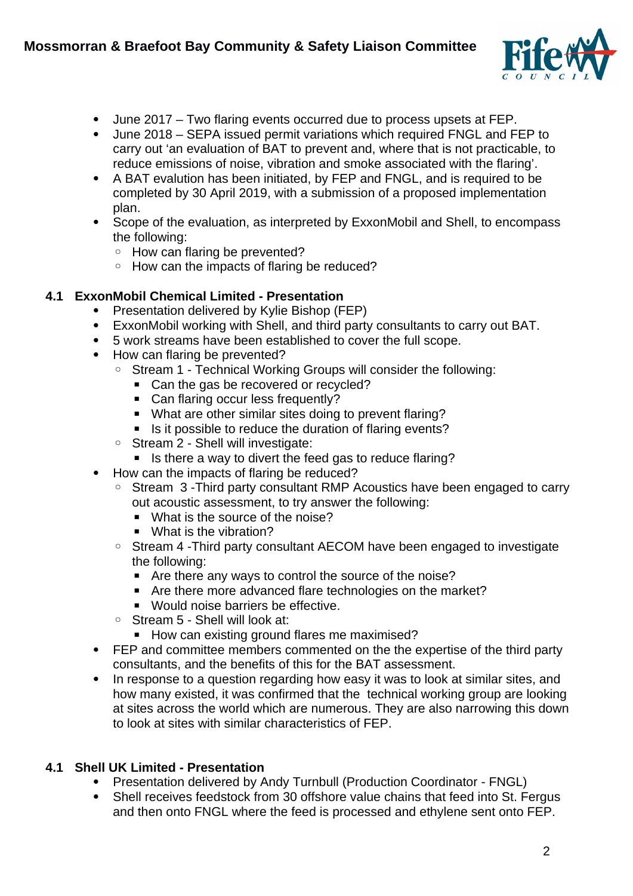

- June 2017 Two flaring events occurred due to process upsets at FEP.
- June 2018 SEPA issued permit variations which required FNGL and FEP to carry out 'an evaluation of BAT to prevent and, where that is not practicable, to reduce emissions of noise, vibration and smoke associated with the flaring'.
- A BAT evalution has been initiated, by FEP and FNGL, and is required to be completed by 30 April 2019, with a submission of a proposed implementation plan.
- Scope of the evaluation, as interpreted by ExxonMobil and Shell, to encompass the following:
	- How can flaring be prevented?
	- How can the impacts of flaring be reduced?

#### **4.1 ExxonMobil Chemical Limited - Presentation**

- Presentation delivered by Kylie Bishop (FEP)
- ExxonMobil working with Shell, and third party consultants to carry out BAT.
- 5 work streams have been established to cover the full scope.
- How can flaring be prevented?
	- Stream 1 Technical Working Groups will consider the following:
		- Can the gas be recovered or recycled?
		- Can flaring occur less frequently?
		- What are other similar sites doing to prevent flaring?
		- Is it possible to reduce the duration of flaring events?
	- Stream 2 Shell will investigate:
		- Is there a way to divert the feed gas to reduce flaring?
- How can the impacts of flaring be reduced?
	- Stream 3 -Third party consultant RMP Acoustics have been engaged to carry out acoustic assessment, to try answer the following:
		- What is the source of the noise?
		- What is the vibration?
	- Stream 4 -Third party consultant AECOM have been engaged to investigate the following:
		- Are there any ways to control the source of the noise?
		- Are there more advanced flare technologies on the market?
		- Would noise barriers be effective.
	- Stream 5 Shell will look at:
		- How can existing ground flares me maximised?
- FEP and committee members commented on the the expertise of the third party consultants, and the benefits of this for the BAT assessment.
- In response to a question regarding how easy it was to look at similar sites, and how many existed, it was confirmed that the technical working group are looking at sites across the world which are numerous. They are also narrowing this down to look at sites with similar characteristics of FEP.

#### **4.1 Shell UK Limited - Presentation**

- Presentation delivered by Andy Turnbull (Production Coordinator FNGL)
- Shell receives feedstock from 30 offshore value chains that feed into St. Fergus and then onto FNGL where the feed is processed and ethylene sent onto FEP.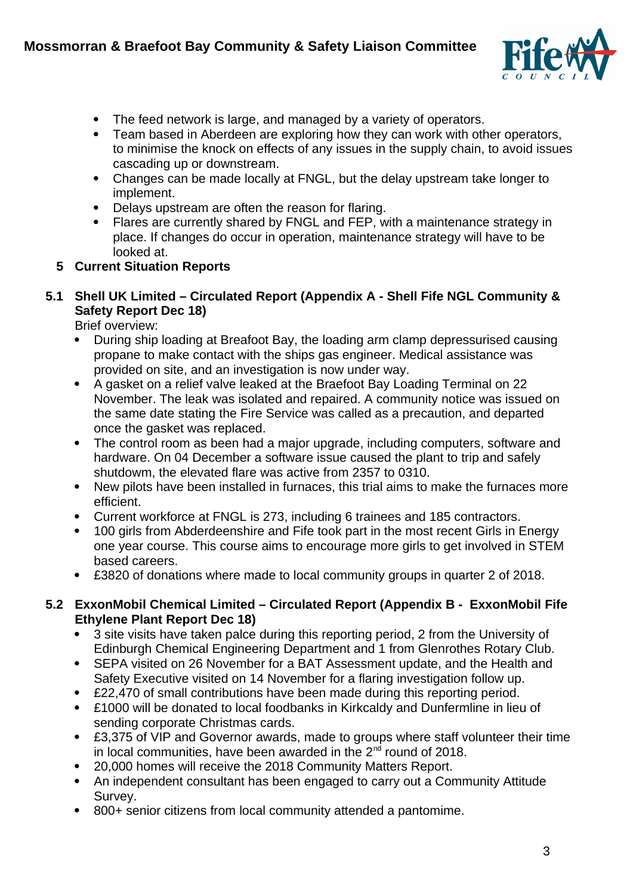

- The feed network is large, and managed by a variety of operators.
- Team based in Aberdeen are exploring how they can work with other operators, to minimise the knock on effects of any issues in the supply chain, to avoid issues cascading up or downstream.
- Changes can be made locally at FNGL, but the delay upstream take longer to implement.
- Delays upstream are often the reason for flaring.
- Flares are currently shared by FNGL and FEP, with a maintenance strategy in place. If changes do occur in operation, maintenance strategy will have to be looked at.
- **5 Current Situation Reports**
- **5.1 Shell UK Limited Circulated Report (Appendix A Shell Fife NGL Community & Safety Report Dec 18)**

Brief overview:

- During ship loading at Breafoot Bay, the loading arm clamp depressurised causing propane to make contact with the ships gas engineer. Medical assistance was provided on site, and an investigation is now under way.
- A gasket on a relief valve leaked at the Braefoot Bay Loading Terminal on 22 November. The leak was isolated and repaired. A community notice was issued on the same date stating the Fire Service was called as a precaution, and departed once the gasket was replaced.
- The control room as been had a major upgrade, including computers, software and hardware. On 04 December a software issue caused the plant to trip and safely shutdowm, the elevated flare was active from 2357 to 0310.
- New pilots have been installed in furnaces, this trial aims to make the furnaces more efficient.
- Current workforce at FNGL is 273, including 6 trainees and 185 contractors.
- 100 girls from Abderdeenshire and Fife took part in the most recent Girls in Energy one year course. This course aims to encourage more girls to get involved in STEM based careers.
- £3820 of donations where made to local community groups in quarter 2 of 2018.

#### **5.2 ExxonMobil Chemical Limited – Circulated Report (Appendix B - ExxonMobil Fife Ethylene Plant Report Dec 18)**

- 3 site visits have taken palce during this reporting period, 2 from the University of Edinburgh Chemical Engineering Department and 1 from Glenrothes Rotary Club.
- SEPA visited on 26 November for a BAT Assessment update, and the Health and Safety Executive visited on 14 November for a flaring investigation follow up.
- £22,470 of small contributions have been made during this reporting period.
- £1000 will be donated to local foodbanks in Kirkcaldy and Dunfermline in lieu of sending corporate Christmas cards.
- £3,375 of VIP and Governor awards, made to groups where staff volunteer their time in local communities, have been awarded in the  $2<sup>nd</sup>$  round of 2018.
- 20,000 homes will receive the 2018 Community Matters Report.
- An independent consultant has been engaged to carry out a Community Attitude Survey.
- 800+ senior citizens from local community attended a pantomime.